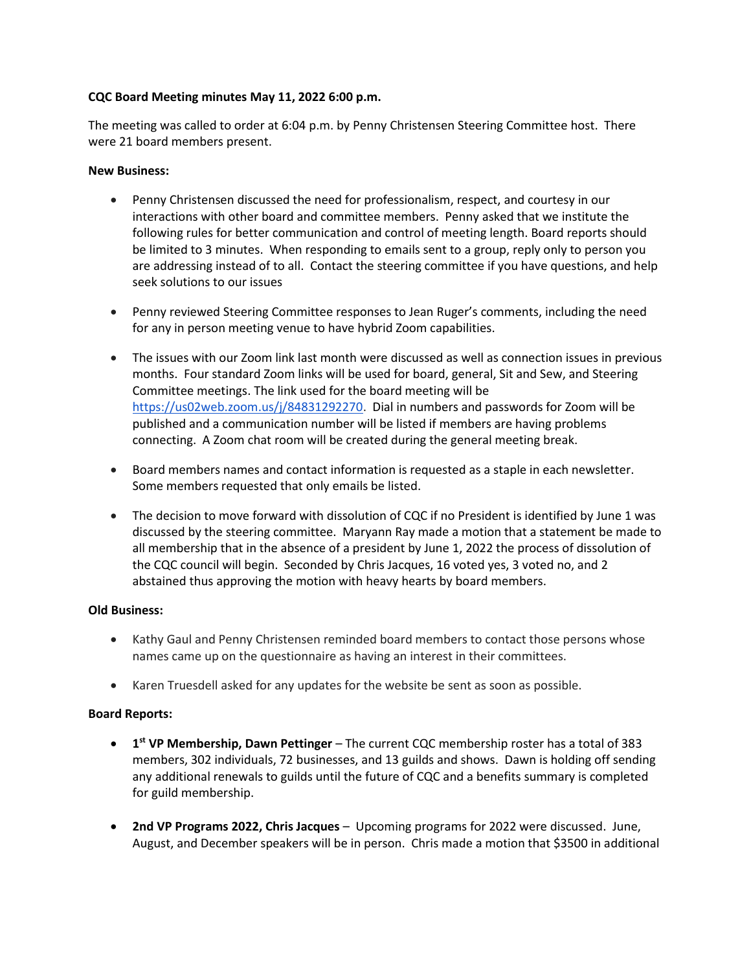# **CQC Board Meeting minutes May 11, 2022 6:00 p.m.**

The meeting was called to order at 6:04 p.m. by Penny Christensen Steering Committee host. There were 21 board members present.

### **New Business:**

- Penny Christensen discussed the need for professionalism, respect, and courtesy in our interactions with other board and committee members. Penny asked that we institute the following rules for better communication and control of meeting length. Board reports should be limited to 3 minutes. When responding to emails sent to a group, reply only to person you are addressing instead of to all. Contact the steering committee if you have questions, and help seek solutions to our issues
- Penny reviewed Steering Committee responses to Jean Ruger's comments, including the need for any in person meeting venue to have hybrid Zoom capabilities.
- The issues with our Zoom link last month were discussed as well as connection issues in previous months. Four standard Zoom links will be used for board, general, Sit and Sew, and Steering Committee meetings. The link used for the board meeting will be [https://us02web.zoom.us/j/84831292270.](https://urldefense.proofpoint.com/v2/url?u=https-3A__us02web.zoom.us_j_84831292270&d=DwMFaQ&c=NpoqeJe4DL9nGxjs4FzBjw&r=-ipEKV2eR3AAHaOLLQQFe8aH2249ieGvoN3oCoJZmpo&m=0BkEWl_t_ehTE8SElO_PdW-3a44UlMx_U_20-hSkGYEknjMcP6FhELFXn88WNoyq&s=_Rsldv4_5StEO05gdgzToP7TkjLew8gizLqCEVjRiag&e=) Dial in numbers and passwords for Zoom will be published and a communication number will be listed if members are having problems connecting. A Zoom chat room will be created during the general meeting break.
- Board members names and contact information is requested as a staple in each newsletter. Some members requested that only emails be listed.
- The decision to move forward with dissolution of CQC if no President is identified by June 1 was discussed by the steering committee. Maryann Ray made a motion that a statement be made to all membership that in the absence of a president by June 1, 2022 the process of dissolution of the CQC council will begin. Seconded by Chris Jacques, 16 voted yes, 3 voted no, and 2 abstained thus approving the motion with heavy hearts by board members.

## **Old Business:**

- Kathy Gaul and Penny Christensen reminded board members to contact those persons whose names came up on the questionnaire as having an interest in their committees.
- Karen Truesdell asked for any updates for the website be sent as soon as possible.

## **Board Reports:**

- **1 st VP Membership, Dawn Pettinger** The current CQC membership roster has a total of 383 members, 302 individuals, 72 businesses, and 13 guilds and shows. Dawn is holding off sending any additional renewals to guilds until the future of CQC and a benefits summary is completed for guild membership.
- **2nd VP Programs 2022, Chris Jacques** Upcoming programs for 2022 were discussed. June, August, and December speakers will be in person. Chris made a motion that \$3500 in additional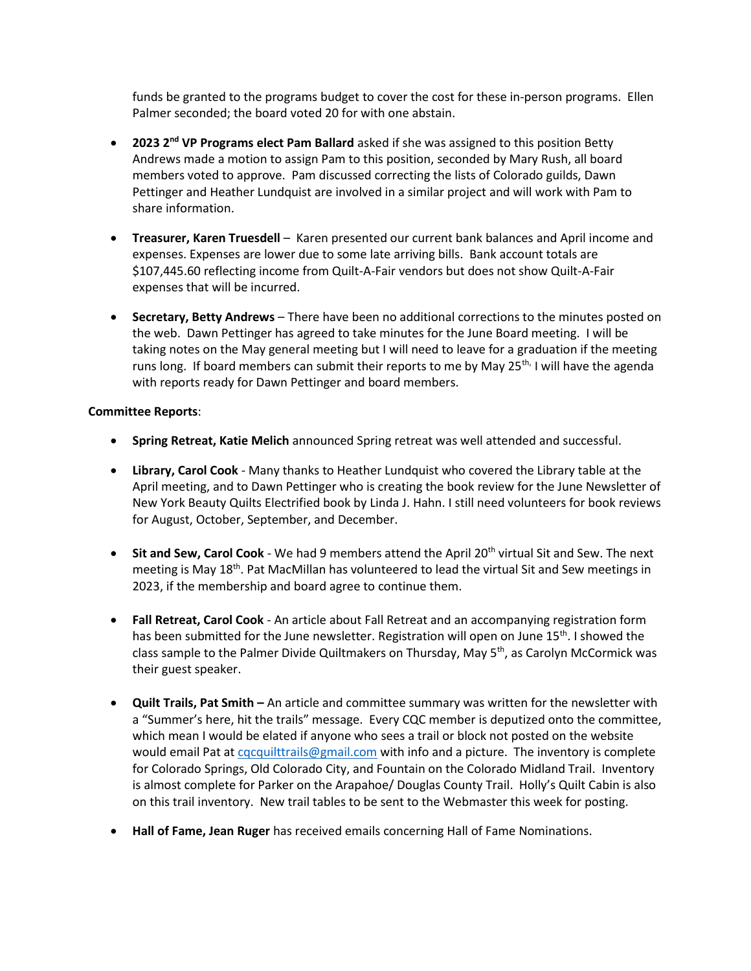funds be granted to the programs budget to cover the cost for these in-person programs. Ellen Palmer seconded; the board voted 20 for with one abstain.

- **2023 2nd VP Programs elect Pam Ballard** asked if she was assigned to this position Betty Andrews made a motion to assign Pam to this position, seconded by Mary Rush, all board members voted to approve. Pam discussed correcting the lists of Colorado guilds, Dawn Pettinger and Heather Lundquist are involved in a similar project and will work with Pam to share information.
- **Treasurer, Karen Truesdell** Karen presented our current bank balances and April income and expenses. Expenses are lower due to some late arriving bills. Bank account totals are \$107,445.60 reflecting income from Quilt-A-Fair vendors but does not show Quilt-A-Fair expenses that will be incurred.
- **Secretary, Betty Andrews**  There have been no additional corrections to the minutes posted on the web. Dawn Pettinger has agreed to take minutes for the June Board meeting. I will be taking notes on the May general meeting but I will need to leave for a graduation if the meeting runs long. If board members can submit their reports to me by May  $25<sup>th</sup>$  I will have the agenda with reports ready for Dawn Pettinger and board members.

## **Committee Reports**:

- **Spring Retreat, Katie Melich** announced Spring retreat was well attended and successful.
- **Library, Carol Cook** Many thanks to Heather Lundquist who covered the Library table at the April meeting, and to Dawn Pettinger who is creating the book review for the June Newsletter of New York Beauty Quilts Electrified book by Linda J. Hahn. I still need volunteers for book reviews for August, October, September, and December.
- Sit and Sew, Carol Cook We had 9 members attend the April 20<sup>th</sup> virtual Sit and Sew. The next meeting is May 18<sup>th</sup>. Pat MacMillan has volunteered to lead the virtual Sit and Sew meetings in 2023, if the membership and board agree to continue them.
- **Fall Retreat, Carol Cook** An article about Fall Retreat and an accompanying registration form has been submitted for the June newsletter. Registration will open on June 15<sup>th</sup>. I showed the class sample to the Palmer Divide Quiltmakers on Thursday, May 5<sup>th</sup>, as Carolyn McCormick was their guest speaker.
- **Quilt Trails, Pat Smith –** An article and committee summary was written for the newsletter with a "Summer's here, hit the trails" message. Every CQC member is deputized onto the committee, which mean I would be elated if anyone who sees a trail or block not posted on the website would email Pat at [cqcquilttrails@gmail.com](mailto:cqcquilttrails@gmail.com) with info and a picture. The inventory is complete for Colorado Springs, Old Colorado City, and Fountain on the Colorado Midland Trail. Inventory is almost complete for Parker on the Arapahoe/ Douglas County Trail. Holly's Quilt Cabin is also on this trail inventory. New trail tables to be sent to the Webmaster this week for posting.
- **Hall of Fame, Jean Ruger** has received emails concerning Hall of Fame Nominations.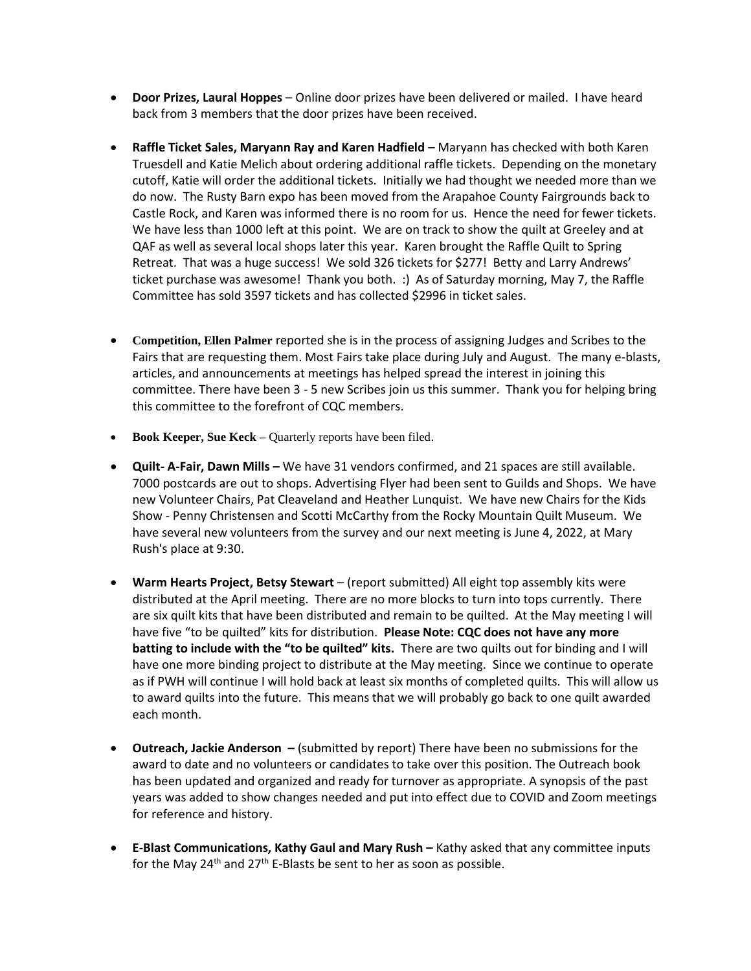- **Door Prizes, Laural Hoppes** Online door prizes have been delivered or mailed. I have heard back from 3 members that the door prizes have been received.
- **Raffle Ticket Sales, Maryann Ray and Karen Hadfield –** Maryann has checked with both Karen Truesdell and Katie Melich about ordering additional raffle tickets. Depending on the monetary cutoff, Katie will order the additional tickets. Initially we had thought we needed more than we do now. The Rusty Barn expo has been moved from the Arapahoe County Fairgrounds back to Castle Rock, and Karen was informed there is no room for us. Hence the need for fewer tickets. We have less than 1000 left at this point. We are on track to show the quilt at Greeley and at QAF as well as several local shops later this year. Karen brought the Raffle Quilt to Spring Retreat. That was a huge success! We sold 326 tickets for \$277! Betty and Larry Andrews' ticket purchase was awesome! Thank you both. :) As of Saturday morning, May 7, the Raffle Committee has sold 3597 tickets and has collected \$2996 in ticket sales.
- **Competition, Ellen Palmer** reported she is in the process of assigning Judges and Scribes to the Fairs that are requesting them. Most Fairs take place during July and August. The many e-blasts, articles, and announcements at meetings has helped spread the interest in joining this committee. There have been 3 - 5 new Scribes join us this summer. Thank you for helping bring this committee to the forefront of CQC members.
- **Book Keeper, Sue Keck –** Quarterly reports have been filed.
- **Quilt- A-Fair, Dawn Mills –** We have 31 vendors confirmed, and 21 spaces are still available. 7000 postcards are out to shops. Advertising Flyer had been sent to Guilds and Shops. We have new Volunteer Chairs, Pat Cleaveland and Heather Lunquist. We have new Chairs for the Kids Show - Penny Christensen and Scotti McCarthy from the Rocky Mountain Quilt Museum. We have several new volunteers from the survey and our next meeting is June 4, 2022, at Mary Rush's place at 9:30.
- **Warm Hearts Project, Betsy Stewart**  (report submitted) All eight top assembly kits were distributed at the April meeting. There are no more blocks to turn into tops currently. There are six quilt kits that have been distributed and remain to be quilted. At the May meeting I will have five "to be quilted" kits for distribution. **Please Note: CQC does not have any more batting to include with the "to be quilted" kits.** There are two quilts out for binding and I will have one more binding project to distribute at the May meeting. Since we continue to operate as if PWH will continue I will hold back at least six months of completed quilts. This will allow us to award quilts into the future. This means that we will probably go back to one quilt awarded each month.
- **Outreach, Jackie Anderson –** (submitted by report) There have been no submissions for the award to date and no volunteers or candidates to take over this position. The Outreach book has been updated and organized and ready for turnover as appropriate. A synopsis of the past years was added to show changes needed and put into effect due to COVID and Zoom meetings for reference and history.
- **E-Blast Communications, Kathy Gaul and Mary Rush –** Kathy asked that any committee inputs for the May  $24<sup>th</sup>$  and  $27<sup>th</sup>$  E-Blasts be sent to her as soon as possible.